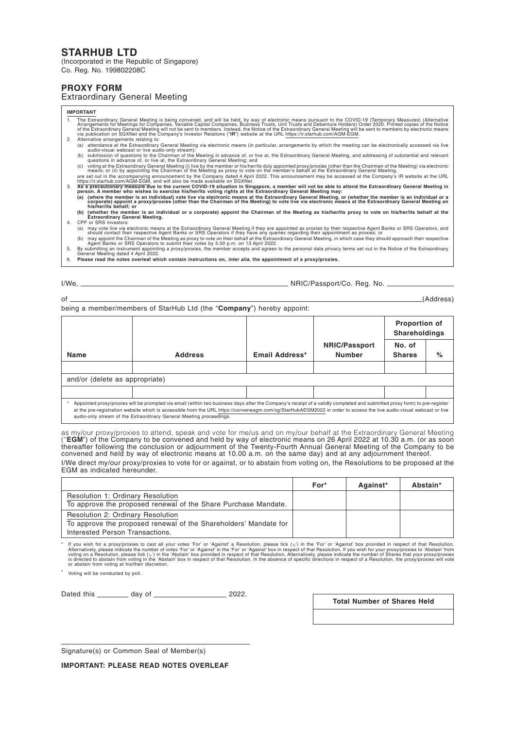# **STARHUB LTD**

(Incorporated in the Republic of Singapore) Co. Reg. No. 199802208C

## **PROXY FORM**

### Extraordinary General Meeting

### **IMPORTANT**

- 1. The Extraordinary General Meeting is being convened, and will be held, by way of electronic means pursuant to the COVID-19 (Temporary Measures) (Alternative<br>Arrangements for Meetings for Companies, Variable Capital Comp
	-
	-
	-
- 2. Alternative arrangements relating to:<br>
(a) attendance at the Extraordinary General Meeting via electronic means (in particular, arrangements by which the meeting can be electronically accessed via live<br>
audio-visual we
- **(b) (whether the member is an individual or a corporate) appoint the Chairman of the Meeting as his/her/its proxy to vote on his/her/its behalf at the Extraordinary General Meeting.** 4. CPF or SRS investors:
	- a) may vote live via electronic means at the Extraordinary General Meeting if they are appointed as proxies by their respective Agent Banks or SRS Operators, and<br>should contact their respective Agent Banks or SRS Operators
- 5. By submitting an instrument appointing a proxy/proxies, the member accepts and agrees to the personal data privacy terms set out in the Notice of the Extraordinary General Meeting dated 4 April 2022.
- 6. **Please read the notes overleaf which contain instructions on, inter alia, the appointment of a proxy/proxies.**

I/We, NRIC/Passport/Co. Reg. No.

of (Address)

being a member/members of StarHub Ltd (the "**Company**") hereby appoint:

|                                |                                                                                                                                                                                                                                                                                                                                                                                                                        |                |                                       | Proportion of<br>Shareholdings |      |  |  |  |  |
|--------------------------------|------------------------------------------------------------------------------------------------------------------------------------------------------------------------------------------------------------------------------------------------------------------------------------------------------------------------------------------------------------------------------------------------------------------------|----------------|---------------------------------------|--------------------------------|------|--|--|--|--|
| Name                           | <b>Address</b>                                                                                                                                                                                                                                                                                                                                                                                                         | Email Address* | <b>NRIC/Passport</b><br><b>Number</b> | No. of<br><b>Shares</b>        | $\%$ |  |  |  |  |
|                                |                                                                                                                                                                                                                                                                                                                                                                                                                        |                |                                       |                                |      |  |  |  |  |
| and/or (delete as appropriate) |                                                                                                                                                                                                                                                                                                                                                                                                                        |                |                                       |                                |      |  |  |  |  |
|                                |                                                                                                                                                                                                                                                                                                                                                                                                                        |                |                                       |                                |      |  |  |  |  |
|                                | Appointed proxy/proxies will be prompted via email (within two business days after the Company's receipt of a validly completed and submitted proxy form) to pre-register<br>at the pre-registration website which is accessible from the URL https://conveneagm.com/sq/StarHubAEGM2022 in order to access the live audio-visual webcast or live<br>audio-only stream of the Extraordinary General Meeting proceedings |                |                                       |                                |      |  |  |  |  |

as my/our proxy/proxies to attend, speak and vote for me/us and on my/our behalf at the Extraordinary General Meeting ("**EGM**") of the Company to be convened and held by way of electronic means on 26 April 2022 at 10.30 a.m. (or as soon<br>thereafter following the conclusion or adjournment of the Twenty-Fourth Annual General Meeting of the C convened and held by way of electronic means at 10.00 a.m. on the same day) and at any adjournment thereof. I/We direct my/our proxy/proxies to vote for or against, or to abstain from voting on, the Resolutions to be proposed at the EGM as indicated hereunder.

|                                                                  | For* | Against* | Abstain* |
|------------------------------------------------------------------|------|----------|----------|
| <b>Resolution 1: Ordinary Resolution</b>                         |      |          |          |
| To approve the proposed renewal of the Share Purchase Mandate.   |      |          |          |
| <b>Resolution 2: Ordinary Resolution</b>                         |      |          |          |
| To approve the proposed renewal of the Shareholders' Mandate for |      |          |          |
| Interested Person Transactions.                                  |      |          |          |

ff you wish for a proxy/proxies to cast all your votes 'For' or 'Against' a Resolution, please tick ( $\sqrt{y}$ ) in the 'For' or 'Against' in the 'For' or 'Against' box in respect of that Resolution. If you wish for a provide

Voting will be conducted by poll.

Dated this  $\frac{1}{2022}$  day of  $\frac{1}{2022}$ .

**Total Number of Shares Held**

Signature(s) or Common Seal of Member(s)

**IMPORTANT: PLEASE READ NOTES OVERLEAF**